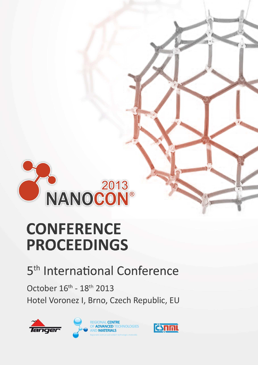

# **CONFERENCE PROCEEDINGS**

### 5<sup>th</sup> International Conference

October 16th - 18th 2013 Hotel Voronez I, Brno, Czech Republic, EU



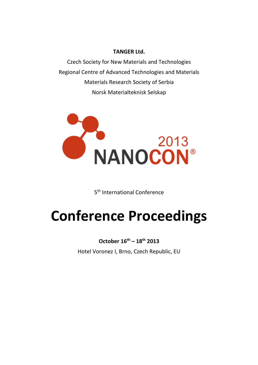#### **TANGER Ltd.**

Czech Society for New Materials and Technologies Regional Centre of Advanced Technologies and Materials Materials Research Society of Serbia Norsk Materialteknisk Selskap



5<sup>th</sup> International Conference

## **Conference Proceedings**

**October 16th – 18th 2013** 

Hotel Voronez I, Brno, Czech Republic, EU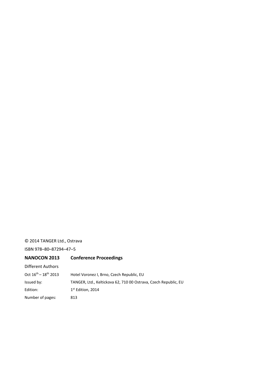#### © 2014 TANGER Ltd., Ostrava

ISBN 978–80–87294–47–5

| <b>NANOCON 2013</b>          | <b>Conference Proceedings</b>                                   |
|------------------------------|-----------------------------------------------------------------|
| Different Authors            |                                                                 |
| Oct $16^{th} - 18^{th}$ 2013 | Hotel Voronez I, Brno, Czech Republic, EU                       |
| Issued by:                   | TANGER, Ltd., Keltickova 62, 710 00 Ostrava, Czech Republic, EU |
| Edition:                     | $1st$ Edition, 2014                                             |
| Number of pages:             | 813                                                             |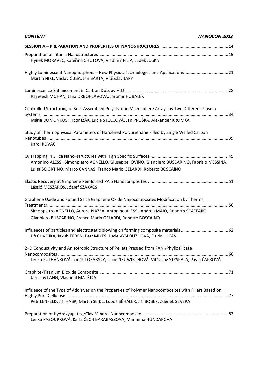| <b>CONTENT</b><br><b>NANOCON 2013</b>                                                                                                                                                                                                       |
|---------------------------------------------------------------------------------------------------------------------------------------------------------------------------------------------------------------------------------------------|
|                                                                                                                                                                                                                                             |
| Hynek MORAVEC, Kateřina CHOTOVÁ, Vladimír FILIP, Luděk JOSKA                                                                                                                                                                                |
| Highly Luminescent Nanophosphors - New Physics, Technologies and Applications 21<br>Martin NIKL, Václav ČUBA, Jan BÁRTA, Vítězslav JARÝ                                                                                                     |
| Rajneesh MOHAN, Jana DRBOHLAVOVA, Jaromir HUBALEK                                                                                                                                                                                           |
| Controlled Structuring of Self-Assembled Polystyrene Microsphere Arrays by Two Different Plasma                                                                                                                                             |
| Mária DOMONKOS, Tibor IŽÁK, Lucie ŠTOLCOVÁ, Jan PROŠKA, Alexander KROMKA                                                                                                                                                                    |
| Study of Thermophysical Parameters of Hardened Polyurethane Filled by Single Walled Carbon<br>Karol KOVÁČ                                                                                                                                   |
| Antonino ALESSI, Simonpietro AGNELLO, Giuseppe IOVINO, Gianpiero BUSCARINO, Fabrizio MESSINA,<br>Luisa SCIORTINO, Marco CANNAS, Franco Mario GELARDI, Roberto BOSCAINO                                                                      |
| László MÉSZÁROS, József SZAKÁCS                                                                                                                                                                                                             |
| Graphene Oxide and Fumed Silica Graphene Oxide Nanocomposites Modification by Thermal<br>Simonpietro AGNELLO, Aurora PIAZZA, Antonino ALESSI, Andrea MAIO, Roberto SCAFFARO,<br>Gianpiero BUSCARINO, Franco Mario GELARDI, Roberto BOSCAINO |
| Jiří CHVOJKA, Jakub ERBEN, Petr MIKEŠ, Lucie VYSLOUŽILOVA, David LUKAŠ                                                                                                                                                                      |
| 2-D Conductivity and Anisotropic Structure of Pellets Pressed from PANI/Phyllosilicate<br>Lenka KULHÁNKOVÁ, Jonáš TOKARSKÝ, Lucie NEUWIRTHOVÁ, Vítězslav STÝSKALA, Pavla ČAPKOVÁ                                                            |
| Jaroslav LANG, Vlastimil MATĚJKA                                                                                                                                                                                                            |
| Influence of the Type of Additives on the Properties of Polymer Nanocomposites with Fillers Based on<br>Petr LENFELD, Jiří HABR, Martin SEIDL, Luboš BĚHÁLEK, Jiří BOBEK, Zděnek SEVERA                                                     |
| Lenka PAZOURKOVÁ, Karla ČECH BARABASZOVÁ, Marianna HUNDÁKOVÁ                                                                                                                                                                                |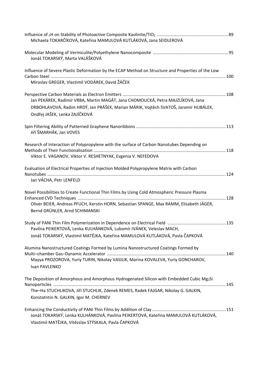| Michaela TOKARČÍKOVÁ, Kateřina MAMULOVÁ KUTLÁKOVÁ, Jana SEIDLEROVÁ                                                                                                                                                         |  |
|----------------------------------------------------------------------------------------------------------------------------------------------------------------------------------------------------------------------------|--|
| Jonáš TOKARSKÝ, Marta VALÁŠKOVÁ                                                                                                                                                                                            |  |
| Influence of Severe Plastic Deformation by the ECAP Method on Structure and Properties of the Low<br>Miroslav GREGER, Vlastimil VODÁREK, David ŽÁČEK                                                                       |  |
| Jan PEKÁREK, Radimír VRBA, Martin MAGÁT, Jana CHOMOUCKÁ, Petra MAJZLÍKOVÁ, Jana<br>DRBOHLAVOVÁ, Radim HRDÝ, Jan PRÁŠEK, Marian MÁRIK, Vojtěch SVATOŠ, Jaromír HUBÁLEK,<br>Ondřej JAŠEK, Lenka ZAJÍČKOVÁ                    |  |
| Jiří ŠMARHÁK, Jan VOVES                                                                                                                                                                                                    |  |
| Research of Interaction of Polypropylene with the surface of Carbon Nanotubes Depending on<br>Viktor E. VAGANOV, Viktor V. RESHETNYAK, Evgenia V. NEFEDOVA                                                                 |  |
| Evaluation of Electrical Properties of Injection Molded Polypropylene Matrix with Carbon<br>Jan VÁCHA, Petr LENFELD                                                                                                        |  |
| Novel Possibilities to Create Functional Thin Films by Using Cold Atmospheric Pressure Plasma<br>Oliver BEIER, Andreas PFUCH, Kerstin HORN, Sebastian SPANGE, Max RAMM, Elisabeth JÄGER,<br>Bernd GRÜNLER, Arnd SCHIMANSKI |  |
| Pavlína PEIKERTOVÁ, Lenka KULHÁNKOVÁ, Lubomír IVÁNEK, Veleslav MACH,<br>Jonáš TOKARSKÝ, Vlastimil MATĚJKA, Kateřina MAMULOVÁ KUTLÁKOVÁ, Pavla ČAPKOVÁ                                                                      |  |
| Alumina Nanostructured Coatings Formed by Lumina Nanostructured Coatings Formed by<br>Mayya PROZOROVA, Yuriy TURIN, Nikolay VASILIK, Marina KOVALEVA, Yuriy GONCHAROV,<br>Ivan PAVLENKO                                    |  |
| The Deposition of Amorphous and Amorphous Hydrogenated Silicon with Embedded Cubic Mg2Si<br>The-Ha STUCHLIKOVA, Jiří STUCHLIK, Zdenek REMES, Radek FAJGAR, Nikolay G. GALKIN,<br>Konstatntin N. GALKIN, Igor M. CHERNEV    |  |
| Jonáš TOKARSKÝ, Lenka KULHÁNKOVÁ, Pavlína PEIKERTOVÁ, Kateřina MAMULOVÁ KUTLÁKOVÁ,<br>Vlastimil MATĚJKA, Vítězslav STÝSKALA, Pavla ČAPKOVÁ                                                                                 |  |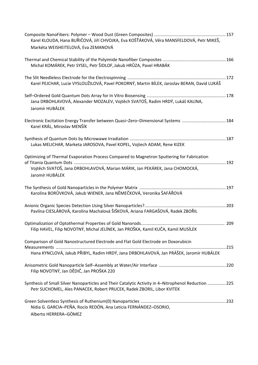| Karel KLOUDA, Hana BUŘIČOVÁ, Jiří CHVOJKA, Eva KOŠŤÁKOVÁ, Věra MANSFELDOVÁ, Petr MIKEŠ,                                                                                                      |     |
|----------------------------------------------------------------------------------------------------------------------------------------------------------------------------------------------|-----|
| Markéta WEISHEITELOVÁ, Eva ZEMANOVÁ                                                                                                                                                          |     |
| Michal KOMÁREK, Petr SYSEL, Petr ŠIDLOF, Jakub HRŮZA, Pavel HRABÁK                                                                                                                           |     |
| Karel PEJCHAR, Lucie VYSLOUŽILOVÁ, Pavel POKORNÝ, Martin BÍLEK, Jaroslav BERAN, David LUKÁŠ                                                                                                  |     |
| Jana DRBOHLAVOVÁ, Alexander MOZALEV, Vojtěch SVATOŠ, Radim HRDÝ, Lukáš KALINA,<br>Jaromír HUBÁLEK                                                                                            |     |
| Electronic Excitation Energy Transfer between Quasi-Zero-Dimensional Systems 184<br>Karel KRÁL, Miroslav MENŠÍK                                                                              |     |
| Lukas MELICHAR, Marketa JAROSOVA, Pavel KOPEL, Vojtech ADAM, Rene KIZEK                                                                                                                      |     |
| Optimizing of Thermal Evaporation Process Compared to Magnetron Sputtering for Fabrication<br>Vojtěch SVATOŠ, Jana DRBOHLAVOVÁ, Marian MÁRIK, Jan PEKÁREK, Jana CHOMOCKÁ,<br>Jaromír HUBÁLEK |     |
| Karolína BORŮVKOVÁ, Jakub WIENER, Jana NĚMEČKOVÁ, Veronika ŠAFÁŘOVÁ                                                                                                                          |     |
| Pavlína CIESLÁROVÁ, Karolína Machalová ŠIŠKOVÁ, Ariana FARGAŠOVÁ, Radek ZBOŘIL                                                                                                               |     |
| Filip HAVEL, Filip NOVOTNÝ, Michal JELÍNEK, Jan PROŠKA, Kamil KUČA, Kamil MUSÍLEK                                                                                                            | 209 |
| Comparison of Gold Nanostructured Electrode and Flat Gold Electrode on Doxorubicin<br>Hana KYNCLOVÁ, Jakub PŘIBYL, Radim HRDÝ, Jana DRBOHLAVOVÁ, Jan PRÁŠEK, Jaromír HUBÁLEK                 |     |
| Filip NOVOTNÝ, Jan DĚDIČ, Jan PROŠKA 220                                                                                                                                                     |     |
| Synthesis of Small Silver Nanoparticles and Their Catalytic Activity in 4-Nitrophenol Reduction 225<br>Petr SUCHOMEL, Ales PANACEK, Robert PRUCEK, Radek ZBORIL, Libor KVITEK                |     |
| Nidia G. GARCIA-PEÑA, Rocío REDÓN, Ana Leticia FERNÁNDEZ-OSORIO,<br>Alberto HERRERA-GÓMEZ                                                                                                    |     |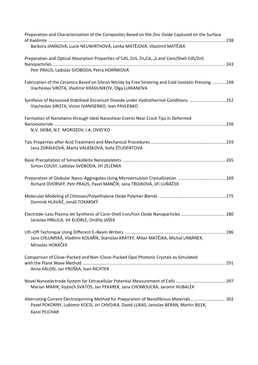| Preparation and Characterization of the Composites Based on the Zinc Oxide Captured on the Surface                                                                                                 |  |
|----------------------------------------------------------------------------------------------------------------------------------------------------------------------------------------------------|--|
| Barbora JANÍKOVÁ, Lucie NEUWIRTHOVÁ, Lenka MATĚJOVÁ, Vlastimil MATĚJKA                                                                                                                             |  |
| Preparation and Optical Absorption Properties of CdS, ZnS, Zn <sub>x</sub> Cd <sub>1-x</sub> S and Core/Shell CdS/ZnS                                                                              |  |
| Petr PRAUS, Ladislav SVOBODA, Petra HORÍNKOVÁ                                                                                                                                                      |  |
| Fabrication of the Ceramics Based on Silicon Nitride by Free Sintering and Cold Isostatic Pressing  248<br>Viacheslav SIROTA, Vladimir KRASILNIKOV, Olga LUKIANOVA                                 |  |
| Synthesis of Nanosized Stabilized Zirconium Dioxide under Hydrothermal Conditions  252<br>Viacheslav SIROTA, Victor IVANISENKO, Ivan PAVLENKO                                                      |  |
| Formation of Nanotwins through Ideal Nanoshear Events Near Crack Tips in Deformed                                                                                                                  |  |
| N.V. SKIBA, N.F. MOROZOV, I.A. OVID'KO                                                                                                                                                             |  |
| Jana ZDRÁLKOVÁ, Marta VALÁŠKOVÁ, Soňa ŠTUDENTOVÁ                                                                                                                                                   |  |
| Simon COUSY, Ladislav SVOBODA, Jiří ZELENKA                                                                                                                                                        |  |
| Preparation of Globular Nano-Aggregates Using Microemulsion Crystallization 269<br>Richard DVORSKÝ, Petr PRAUS, Pavel MANČÍK, Jana TROJKOVÁ, Jiří LUŇÁČEK                                          |  |
| Dominik HLAVÁČ, Jonáš TOKARSKÝ                                                                                                                                                                     |  |
| Jaroslav HNILICA, Vít KUDRLE, Ondřej JAŠEK                                                                                                                                                         |  |
| Jana CHLUMSKÁ, Vladimír KOLAŘÍK, Stanislav KRÁTKÝ, Milan MATĚJKA, Michal URBÁNEK,<br>Miroslav HORÁČEK                                                                                              |  |
| Comparison of Close-Packed and Non-Close-Packed Opal Photonic Crystals as Simulated                                                                                                                |  |
| Anna KÁLOSI, Jan PROŠKA, Ivan RICHTER                                                                                                                                                              |  |
|                                                                                                                                                                                                    |  |
| Marian MARIK, Vojtech SVATOS, Jan PEKAREK, Jana CHOMOUCKA, Jaromir HUBALEK                                                                                                                         |  |
| Alternating Current Electrospinning Method for Preparation of Nanofibrous Materials 302<br>Pavel POKORNY, Lubomir KOCIS, Jiri CHVOJKA, David LUKAS, Jaroslav BERAN, Martin BILEK,<br>Karel PEJCHAR |  |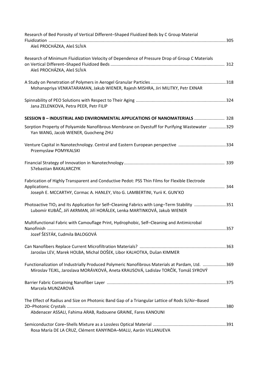| Research of Bed Porosity of Vertical Different-Shaped Fluidized Beds by C Group Material                                                                                             |  |
|--------------------------------------------------------------------------------------------------------------------------------------------------------------------------------------|--|
| Aleš PROCHÁZKA, Aleš SLÍVA                                                                                                                                                           |  |
| Research of Minimum Fluidization Velocity of Dependence of Pressure Drop of Group C Materials<br>Aleš PROCHÁZKA, Aleš SLÍVA                                                          |  |
| Mohanapriya VENKATARAMAN, Jakub WIENER, Rajesh MISHRA, Jiri MILITKY, Petr EXNAR                                                                                                      |  |
| Jana ZELENKOVA, Petra PEER, Petr FILIP                                                                                                                                               |  |
| SESSION B - INDUSTRIAL AND ENVIRONMENTAL APPLICATIONS OF NANOMATERIALS  328                                                                                                          |  |
| Sorption Property of Polyamide Nanofibrous Membrane on Dyestuff for Purifying Wastewater 329<br>Yan WANG, Jacob WIENER, Guocheng ZHU                                                 |  |
| Venture Capital in Nanotechnology. Central and Eastern European perspective 334<br>Przemyslaw POMYKALSKI                                                                             |  |
| S7ebastian BAKALARCZYK                                                                                                                                                               |  |
| Fabrication of Highly Transparent and Conductive Pedot: PSS Thin Films for Flexible Electrode                                                                                        |  |
| Joseph E. MCCARTHY, Cormac A. HANLEY, Vito G. LAMBERTINI, Yurii K. GUN'KO                                                                                                            |  |
| Photoactive TIO <sub>2</sub> and Its Application for Self-Cleaning Fabrics with Long-Term Stability 351<br>Lubomír KUBÁČ, Jiří AKRMAN, Jiří HORÁLEK, Lenka MARTINKOVÁ, Jakub WIENER  |  |
| Multifunctional Fabric with Camouflage Print, Hydrophobic, Self-Cleaning and Antimicrobal<br>Jozef ŠESTÁK, Ľudmila BALOGOVÁ                                                          |  |
| Jaroslav LEV, Marek HOLBA, Michal DOŠEK, Libor KALHOTKA, Dušan KIMMER                                                                                                                |  |
| Functionalization of Industrially Produced Polymeric Nanofibrous Materials at Pardam, Ltd. 369<br>Miroslav TEJKL, Jaroslava MORÁVKOVÁ, Aneta KRAUSOVÁ, Ladislav TORČÍK, Tomáš SYROVÝ |  |
| Marcela MUNZAROVÁ                                                                                                                                                                    |  |
| The Effect of Radius and Size on Photonic Band Gap of a Triangular Lattice of Rods Si/Air-Based                                                                                      |  |
| Abdenacer ASSALI, Fahima ARAB, Radouene GRAINE, Fares KANOUNI                                                                                                                        |  |
| Rosa María DE LA CRUZ, Clément KANYINDA-MALU, Aarón VILLANUEVA                                                                                                                       |  |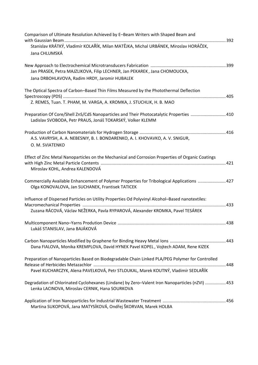| Comparison of Ultimate Resolution Achieved by E-Beam Writers with Shaped Beam and                                                                      |  |
|--------------------------------------------------------------------------------------------------------------------------------------------------------|--|
| Stanislav KRÁTKÝ, Vladimír KOLAŘÍK, Milan MATĚJKA, Michal URBÁNEK, Miroslav HORÁČEK,                                                                   |  |
| Jana CHLUMSKÁ                                                                                                                                          |  |
| Jan PRASEK, Petra MAJZLIKOVA, Filip LECHNER, Jan PEKAREK, Jana CHOMOUCKA,                                                                              |  |
| Jana DRBOHLAVOVA, Radim HRDY, Jaromir HUBALEK                                                                                                          |  |
| The Optical Spectra of Carbon-Based Thin Films Measured by the Photothermal Deflection                                                                 |  |
| Z. REMES, Tuan. T. PHAM, M. VARGA, A. KROMKA, J. STUCHLIK, H. B. MAO                                                                                   |  |
| Preparation Of Core/Shell ZnS/CdS Nanoparticles and Their Photocatalytic Properties  410<br>Ladislav SVOBODA, Petr PRAUS, Jonáš TOKARSKÝ, Volker KLEMM |  |
| A.S. VAVRYSH, A. A. NEBESNIY, B. I. BONDARENKO, A. I. KHOVAVKO, A. V. SNIGUR,<br>O. M. SVIATENKO                                                       |  |
| Effect of Zinc Metal Nanoparticles on the Mechanical and Corrosion Properties of Organic Coatings                                                      |  |
| Miroslav KOHL, Andrea KALENDOVÁ                                                                                                                        |  |
| Commercially Available Enhancement of Polymer Properties for Tribological Applications  427<br>Olga KONOVALOVA, Jan SUCHANEK, Frantisek TATICEK        |  |
| Influence of Dispersed Particles on Utility Properties Od Polyvinyl Alcohol-Based nanotextiles:                                                        |  |
| Zuzana RÁCOVÁ, Václav NEŽERKA, Pavla RYPAROVÁ, Alexander KROMKA, Pavel TESÁREK                                                                         |  |
| Lukáš STANISLAV, Jana BAJÁKOVÁ                                                                                                                         |  |
| Dana FIALOVA, Monika KREMPLOVA, David HYNEK Pavel KOPEL, Vojtech ADAM, Rene KIZEK                                                                      |  |
| Preparation of Nanoparticles Based on Biodegradable Chain Linked PLA/PEG Polymer for Controlled                                                        |  |
| . 448<br>Pavel KUCHARCZYK, Alena PAVELKOVÁ, Petr STLOUKAL, Marek KOUTNÝ, Vladimír SEDLAŘÍK                                                             |  |
| Degradation of Chlorinated Cyclohexanes (Lindane) by Zero-Valent Iron Nanoparticles (nZVI)  453<br>Lenka LACINOVA, Miroslav CERNIK, Hana SOURKOVA      |  |
| Martina SUKOPOVÁ, Jana MATYSÍKOVÁ, Ondřej ŠKORVAN, Marek HOLBA                                                                                         |  |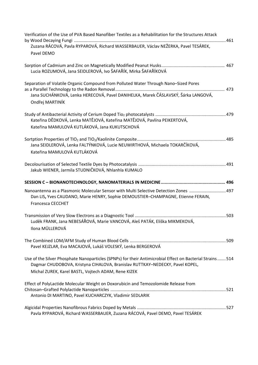| Verification of the Use of PVA Based Nanofiber Textiles as a Rehabilitation for the Structures Attack                                                                                                                                            |  |
|--------------------------------------------------------------------------------------------------------------------------------------------------------------------------------------------------------------------------------------------------|--|
| Zuzana RÁCOVÁ, Pavla RYPAROVÁ, Richard WASSERBAUER, Václav NEŽERKA, Pavel TESÁREK,<br>Pavel DEMO                                                                                                                                                 |  |
| Lucia ROZUMOVÁ, Jana SEIDLEROVÁ, Ivo ŠAFAŘÍK, Mirka ŠAFAŘÍKOVÁ                                                                                                                                                                                   |  |
| Separation of Volatile Organic Compound from Polluted Water Through Nano-Sized Pores<br>Jana SUCHÁNKOVÁ, Lenka HERECOVÁ, Pavel DANIHELKA, Marek ČÁSLAVSKÝ, Šárka LANGOVÁ,<br>Ondřej MARTINÍK                                                     |  |
| Kateřina DĚDKOVÁ, Lenka MATĚJOVÁ, Kateřina MATĚJOVÁ, Pavlína PEIKERTOVÁ,<br>Kateřina MAMULOVÁ KUTLÁKOVÁ, Jana KUKUTSCHOVÁ                                                                                                                        |  |
| Jana SEIDLEROVÁ, Lenka FALTÝNKOVÁ, Lucie NEUWIRTHOVÁ, Michaela TOKARČÍKOVÁ,<br>Kateřina MAMULOVÁ KUTLÁKOVÁ                                                                                                                                       |  |
| Jakub WIENER, Jarmila STUDNIČKOVÁ, Nhlanhla KUMALO                                                                                                                                                                                               |  |
|                                                                                                                                                                                                                                                  |  |
| Nanoantenna as a Plasmonic Molecular Sensor with Multi Selective Detection Zones  497<br>Dan LIS, Yves CAUDANO, Marie HENRY, Sophie DEMOUSTIER-CHAMPAGNE, Etienne FERAIN,<br><b>Francesca CECCHET</b>                                            |  |
| Luděk FRANK, Jana NEBESÁŘOVÁ, Marie VANCOVÁ, Aleš PATÁK, Eliška MIKMEKOVÁ,<br>Ilona MÜLLEROVÁ                                                                                                                                                    |  |
|                                                                                                                                                                                                                                                  |  |
| Pavel KEJZLAR, Eva MACAJOVÁ, Lukáš VOLESKÝ, Lenka BERGEROVÁ                                                                                                                                                                                      |  |
| Use of the Silver Phosphate Nanoparticles (SPNPs) for their Antimicrobial Effect on Bacterial Strains 514<br>Dagmar CHUDOBOVA, Kristyna CIHALOVA, Branislav RUTTKAY-NEDECKY, Pavel KOPEL,<br>Michal ZUREK, Karel BASTL, Vojtech ADAM, Rene KIZEK |  |
| Effect of PolyLactide Molecular Weight on Doxorubicin and Temozolomide Release from<br>Antonio DI MARTINO, Pavel KUCHARCZYK, Vladimir SEDLARIK                                                                                                   |  |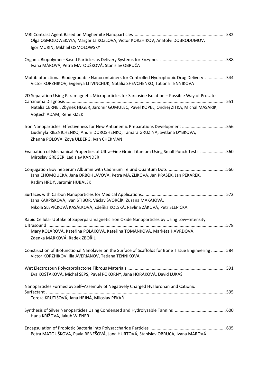| Olga OSMOLOWSKAYA, Margarita KOZLOVA, Victor KORZHIKOV, Anatolyi DOBRODUMOV,                                                                                                                                               |  |
|----------------------------------------------------------------------------------------------------------------------------------------------------------------------------------------------------------------------------|--|
| Igor MURIN, Mikhail OSMOLOWSKY                                                                                                                                                                                             |  |
| Ivana MÁROVÁ, Petra MATOUŠKOVÁ, Stanislav OBRUČA                                                                                                                                                                           |  |
| Multibiofunctional Biodegradable Nanocontainers for Controlled Hydrophobic Drug Delivery 544<br>Victor KORZHIKOV, Evgenya LITVINCHUK, Natalia SHEVCHENKO, Tatiana TENNIKOVA                                                |  |
| 2D Separation Using Paramagnetic Microparticles for Sarcosine Isolation - Possible Way of Prosate<br>Natalia CERNEI, Zbynek HEGER, Jaromir GUMULEC, Pavel KOPEL, Ondrej ZITKA, Michal MASARIK,<br>Vojtech ADAM, Rene KIZEK |  |
| Iron Nanoparticles' Effectiveness for New Antianemic Preparations Development 556<br>Liudmyla RIEZNICHENKO, Andrii DOROSHENKO, Tamara GRUZINA, Svitlana DYBKOVA,<br>Zhanna POLOVA, Zoya ULBERG, Ivan CHEKMAN               |  |
| Evaluation of Mechanical Properties of Ultra-Fine Grain Titanium Using Small Punch Tests 560<br>Miroslav GREGER, Ladislav KANDER                                                                                           |  |
| Jana CHOMOUCKA, Jana DRBOHLAVOVA, Petra MAJZLIKOVA, Jan PRASEK, Jan PEKAREK,<br>Radim HRDY, Jaromir HUBALEK                                                                                                                |  |
| Jana KARPÍŠKOVÁ, Ivan STIBOR, Václav ŠVORČÍK, Zuzana MAKAJOVÁ,                                                                                                                                                             |  |
| Nikola SLEPIČKOVÁ KASÁLKOVÁ, Zdeňka KOLSKÁ, Pavlína ŽÁKOVÁ, Petr SLEPIČKA                                                                                                                                                  |  |
| Rapid Cellular Uptake of Superparamagnetic Iron Oxide Nanoparticles by Using Low-Intensity                                                                                                                                 |  |
| Mary KOLÁŘOVÁ, Kateřina POLÁKOVÁ, Kateřina TOMÁNKOVÁ, Markéta HAVRDOVÁ,<br>Zdenka MARKOVÁ, Radek ZBOŘIL                                                                                                                    |  |
| Construction of Biofunctional Nanolayer on the Surface of Scaffolds for Bone Tissue Engineering  584<br>Victor KORZHIKOV, Ilia AVERIANOV, Tatiana TENNIKOVA                                                                |  |
| Eva KOŠŤÁKOVÁ, Michal ŠEPS, Pavel POKORNÝ, Jana HORÁKOVÁ, David LUKÁŠ                                                                                                                                                      |  |
| Nanoparticles Formed by Self-Assembly of Negatively Charged Hyaluronan and Cationic<br>Tereza KRUTIŠOVÁ, Jana HEJNÁ, Miloslav PEKAŘ                                                                                        |  |
| Hana KŘÍŽOVÁ, Jakub WIENER                                                                                                                                                                                                 |  |
| Petra MATOUŠKOVÁ, Pavla BENEŠOVÁ, Jana HURTOVÁ, Stanislav OBRUČA, Ivana MÁROVÁ                                                                                                                                             |  |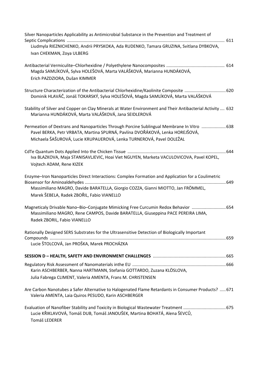| Silver Nanoparticles Applicability as Antimicrobial Substance in the Prevention and Treatment of<br>Liudmyla RIEZNICHENKO, Andrii PRYSKOKA, Ada RUDENKO, Tamara GRUZINA, Svitlana DYBKOVA,<br>Ivan CHEKMAN, Zoya ULBERG                             |
|-----------------------------------------------------------------------------------------------------------------------------------------------------------------------------------------------------------------------------------------------------|
| Magda SAMLÍKOVÁ, Sylva HOLEŠOVÁ, Marta VALÁŠKOVÁ, Marianna HUNDÁKOVÁ,<br>Erich PAZDZIORA, Dušan KIMMER                                                                                                                                              |
| Dominik HLAVÁČ, Jonáš TOKARSKÝ, Sylva HOLEŠOVÁ, Magda SAMLÍKOVÁ, Marta VALÁŠKOVÁ                                                                                                                                                                    |
| Stability of Silver and Copper on Clay Minerals at Water Environment and Their Antibacterial Activity  632<br>Marianna HUNDÁKOVÁ, Marta VALÁŠKOVÁ, Jana SEIDLEROVÁ                                                                                  |
| Permeation of Dextrans and Nanoparticles Through Porcine Sublingual Membrane In Vitro  638<br>Pavel BERKA, Petr VRBATA, Martina SPURNÁ, Pavlína DVOŘÁKOVÁ, Lenka HOREJŠOVÁ,<br>Michaela ŠAŠUROVÁ, Lucie KRUPAUEROVÁ, Lenka TURNEROVÁ, Pavel DOLEŽAL |
| Iva BLAZKOVA, Maja STANISAVLJEVIC, Hoai Viet NGUYEN, Marketa VACULOVICOVA, Pavel KOPEL,<br>Vojtech ADAM, Rene KIZEK                                                                                                                                 |
| Enzyme-Iron Nanoparticles Direct Interactions: Complex Formation and Application for a Coulimetric<br>Massimiliano MAGRO, Davide BARATELLA, Giorgio COZZA, Gianni MIOTTO, Jan FRÖMMEL,<br>Marek ŠEBELA, Radek ZBOŘIL, Fabio VIANELLO                |
| Magneticaly Drivable Nano-Bio-Conjugate Mimicking Free Curcumin Redox Behavior  654<br>Massimiliano MAGRO, Rene CAMPOS, Davide BARATELLA, Giuseppina PACE PEREIRA LIMA,<br>Radek ZBORIL, Fabio VIANELLO                                             |
| Rationally Designed SERS Substrates for the Ultrasensitive Detection of Biologically Important<br>Lucie ŠTOLCOVÁ, Jan PROŠKA, Marek PROCHÁZKA                                                                                                       |
|                                                                                                                                                                                                                                                     |
| Karin ASCHBERBER, Nanna HARTMANN, Stefania GOTTARDO, Zuzana KLÖSLOVA,                                                                                                                                                                               |
| Julia Fabrega CLIMENT, Valeria AMENTA, Frans M. CHRISTENSEN                                                                                                                                                                                         |
| Are Carbon Nanotubes a Safer Alternative to Halogenated Flame Retardants in Consumer Products?  671<br>Valeria AMENTA, Laia Quiros PESUDO, Karin ASCHBERGER                                                                                         |
| Evaluation of Nanofiber Stability and Toxicity in Biological Wastewater Treatment  675<br>Lucie KŘIKLAVOVÁ, Tomáš DUB, Tomáš JANOUŠEK, Martina BOHATÁ, Alena ŠEVCŮ,<br>Tomáš LEDERER                                                                |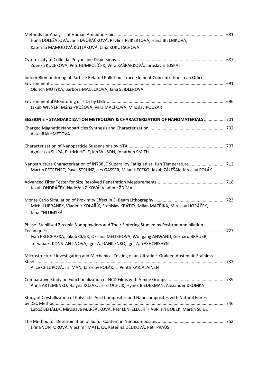| Hana DOLEŽALOVÁ, Jana DVOŘÁČKOVÁ, Pavlína PEIKERTOVÁ, Hana BIELNIKOVÁ,<br>Kateřina MAMULOVÁ KUTLÁKOVÁ, Jana KUKUTSCHOVÁ                                                         |  |
|---------------------------------------------------------------------------------------------------------------------------------------------------------------------------------|--|
| Zdenka KUCEKOVÁ, Petr HUMPOLÍČEK, Věra KAŠPÁRKOVÁ, Jaroslav STEJSKAL                                                                                                            |  |
| Indoor Biomonitoring of Particle Related Pollution: Trace Element Concentration in an Office<br>Oldřich MOTYKA, Barbora MACEČKOVÁ, Jana SEIDLEROVÁ                              |  |
| Jakub WIENER, Mária PRŮŠOVÁ, Věra MACÍKOVÁ, Miloslav POUZAR                                                                                                                     |  |
| SESSION E - STANDARDIZATION METROLOGY & CHARACTERIZATION OF NANOMATERIALS  701                                                                                                  |  |
| <b>Assel RAKHMETOVA</b>                                                                                                                                                         |  |
| Agnieszka SIUPA, Patrick HOLE, Ian WILSON, Jonathan SMITH                                                                                                                       |  |
| Nanostructure Characterization of IN738LC Superalloy Fatigued at High Temperature 712<br>Martin PETRENEC, Pavel STRUNZ, Urs GASSER, Milan HECZKO, Jakub ZÁLEŠÁK, Jaroslav POLÁK |  |
| Jakub ONDRÁČEK, Naděžda ZÍKOVÁ, Vladimír ŽDÍMAL                                                                                                                                 |  |
| Michal URBÁNEK, Vladimír KOLAŘÍK, Stanislav KRÁTKÝ, Milan MATĚJKA, Miroslav HORÁČEK,<br>Jana CHLUMSKÁ                                                                           |  |
| Phase-Stabilised Zirconia Nanopowders and Their Sintering Studied by Positron Annihilation                                                                                      |  |
| Ivan PROCHAZKA, Jakub CIZEK, Oksana MELIKHOVA, Wolfgang ANWAND, Gerhard BRAUER,<br>Tetyana E. KONSTANTINOVA, Igor A. DANILENKO, Igor A. YASHCHISHYN                             |  |
| Microstructural Investigation and Mechanical Testing of an Ultrafine-Grained Austenitic Stainless                                                                               |  |
| Alice CHLUPOVÁ, Jiří MAN, Jaroslav POLÁK, L. Pentti KARJALAINEN                                                                                                                 |  |
| Anna ARTEMENKO, Halyna KOZAK, Jiri STUCHLIK, Hynek BIEDERMAN, Alexander KROMKA                                                                                                  |  |
| Study of Crystallization of Polylactic Acid Composites and Nanocomposites with Natural Fibres                                                                                   |  |
| Luboš BĚHÁLEK, Miroslava MARŠÁLKOVÁ, Petr LENFELD, Jiří HABR, Jiří BOBEK, Martin SEIDL                                                                                          |  |
| Jiřina VONTOROVÁ, Vlastimil MATĚJKA, Kateřina DĚDKOVÁ, Petr PRAUS                                                                                                               |  |